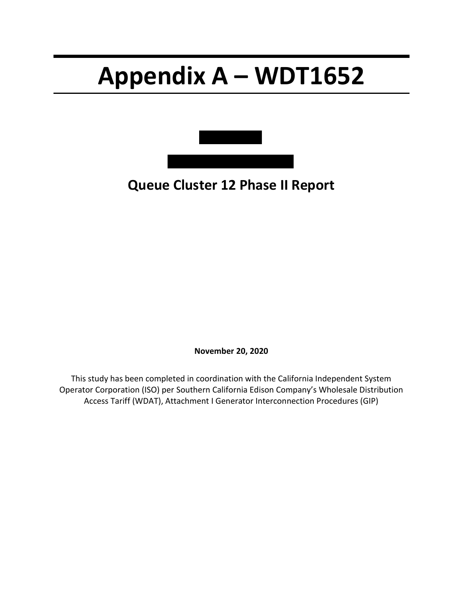# **Appendix A – WDT1652**



**Queue Cluster 12 Phase II Report**

**November 20, 2020**

This study has been completed in coordination with the California Independent System Operator Corporation (ISO) per Southern California Edison Company's Wholesale Distribution Access Tariff (WDAT), Attachment I Generator Interconnection Procedures (GIP)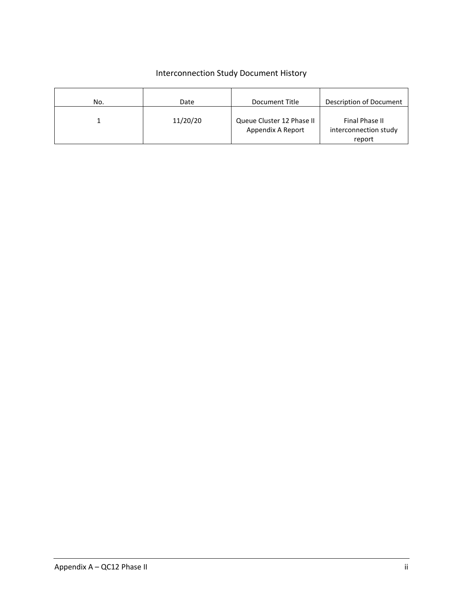# Interconnection Study Document History

| No. | Date     | Document Title                                 | Description of Document                           |
|-----|----------|------------------------------------------------|---------------------------------------------------|
|     | 11/20/20 | Queue Cluster 12 Phase II<br>Appendix A Report | Final Phase II<br>interconnection study<br>report |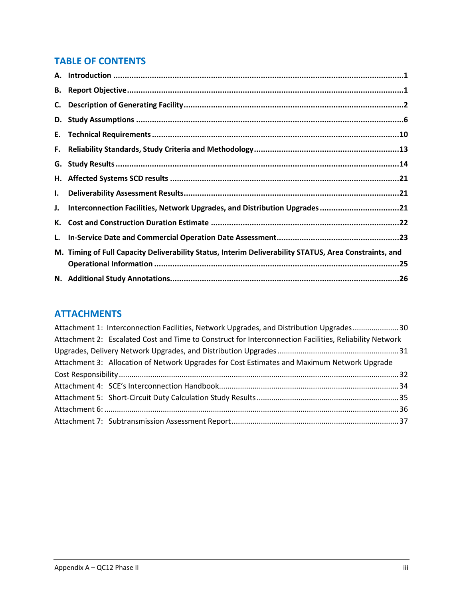# **TABLE OF CONTENTS**

| C. |                                                                                                        |
|----|--------------------------------------------------------------------------------------------------------|
| D. |                                                                                                        |
|    |                                                                                                        |
| F. |                                                                                                        |
|    |                                                                                                        |
|    |                                                                                                        |
| I. |                                                                                                        |
| J. | Interconnection Facilities, Network Upgrades, and Distribution Upgrades21                              |
| К. |                                                                                                        |
| L. |                                                                                                        |
|    | M. Timing of Full Capacity Deliverability Status, Interim Deliverability STATUS, Area Constraints, and |
|    |                                                                                                        |
|    |                                                                                                        |

# **ATTACHMENTS**

| Attachment 1: Interconnection Facilities, Network Upgrades, and Distribution Upgrades30                |  |
|--------------------------------------------------------------------------------------------------------|--|
| Attachment 2: Escalated Cost and Time to Construct for Interconnection Facilities, Reliability Network |  |
|                                                                                                        |  |
| Attachment 3: Allocation of Network Upgrades for Cost Estimates and Maximum Network Upgrade            |  |
|                                                                                                        |  |
|                                                                                                        |  |
|                                                                                                        |  |
|                                                                                                        |  |
|                                                                                                        |  |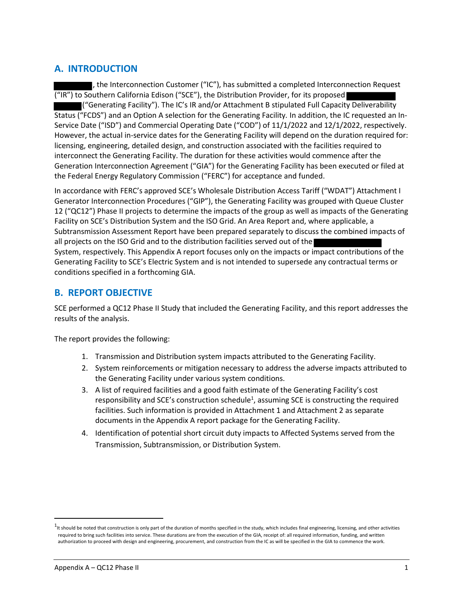# <span id="page-3-0"></span>**A. INTRODUCTION**

the Interconnection Customer ("IC"), has submitted a completed Interconnection Request ("IR") to Southern California Edison ("SCE"), the Distribution Provider, for its proposed  $\blacksquare$  ("Generating Facility"). The IC's IR and/or Attachment B stipulated Full Capacity Deliverability Status ("FCDS") and an Option A selection for the Generating Facility*.* In addition, the IC requested an In-Service Date ("ISD") and Commercial Operating Date ("COD") of 11/1/2022 and 12/1/2022, respectively. However, the actual in-service dates for the Generating Facility will depend on the duration required for: licensing, engineering, detailed design, and construction associated with the facilities required to interconnect the Generating Facility. The duration for these activities would commence after the Generation Interconnection Agreement ("GIA") for the Generating Facility has been executed or filed at the Federal Energy Regulatory Commission ("FERC") for acceptance and funded.

In accordance with FERC's approved SCE's Wholesale Distribution Access Tariff ("WDAT") Attachment I Generator Interconnection Procedures ("GIP"), the Generating Facility was grouped with Queue Cluster 12 ("QC12") Phase II projects to determine the impacts of the group as well as impacts of the Generating Facility on SCE's Distribution System and the ISO Grid. An Area Report and, where applicable, a Subtransmission Assessment Report have been prepared separately to discuss the combined impacts of all projects on the ISO Grid and to the distribution facilities served out of the System, respectively. This Appendix A report focuses only on the impacts or impact contributions of the Generating Facility to SCE's Electric System and is not intended to supersede any contractual terms or conditions specified in a forthcoming GIA.

# <span id="page-3-1"></span>**B. REPORT OBJECTIVE**

SCE performed a QC12 Phase II Study that included the Generating Facility, and this report addresses the results of the analysis.

The report provides the following:

- 1. Transmission and Distribution system impacts attributed to the Generating Facility.
- 2. System reinforcements or mitigation necessary to address the adverse impacts attributed to the Generating Facility under various system conditions.
- 3. A list of required facilities and a good faith estimate of the Generating Facility's cost responsibility and SCE's construction schedule<sup>1</sup>, assuming SCE is constructing the required facilities. Such information is provided in Attachment 1 and Attachment 2 as separate documents in the Appendix A report package for the Generating Facility.
- 4. Identification of potential short circuit duty impacts to Affected Systems served from the Transmission, Subtransmission, or Distribution System.

<sup>1</sup>t should be noted that construction is only part of the duration of months specified in the study, which includes final engineering, licensing, and other activities required to bring such facilities into service. These durations are from the execution of the GIA, receipt of: all required information, funding, and written authorization to proceed with design and engineering, procurement, and construction from the IC as will be specified in the GIA to commence the work.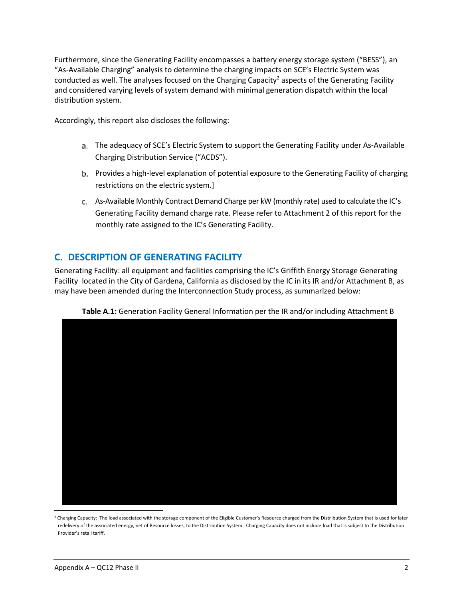Furthermore, since the Generating Facility encompasses a battery energy storage system ("BESS"), an "As-Available Charging" analysis to determine the charging impacts on SCE's Electric System was conducted as well. The analyses focused on the Charging Capacity<sup>2</sup> aspects of the Generating Facility and considered varying levels of system demand with minimal generation dispatch within the local distribution system*.*

Accordingly, this report also discloses the following:

- The adequacy of SCE's Electric System to support the Generating Facility under As-Available Charging Distribution Service ("ACDS").
- Provides a high-level explanation of potential exposure to the Generating Facility of charging restrictions on the electric system.]
- As-Available Monthly Contract Demand Charge per kW (monthly rate) used to calculate the IC's Generating Facility demand charge rate. Please refer to Attachment 2 of this report for the monthly rate assigned to the IC's Generating Facility.

# <span id="page-4-0"></span>**C. DESCRIPTION OF GENERATING FACILITY**

Generating Facility: all equipment and facilities comprising the IC's Griffith Energy Storage Generating Facility located in the City of Gardena, California as disclosed by the IC in its IR and/or Attachment B, as may have been amended during the Interconnection Study process, as summarized below:



**Table A.1:** Generation Facility General Information per the IR and/or including Attachment B

<sup>&</sup>lt;sup>2</sup> Charging Capacity: The load associated with the storage component of the Eligible Customer's Resource charged from the Distribution System that is used for later redelivery of the associated energy, net of Resource losses, to the Distribution System. Charging Capacity does not include load that is subject to the Distribution Provider's retail tariff.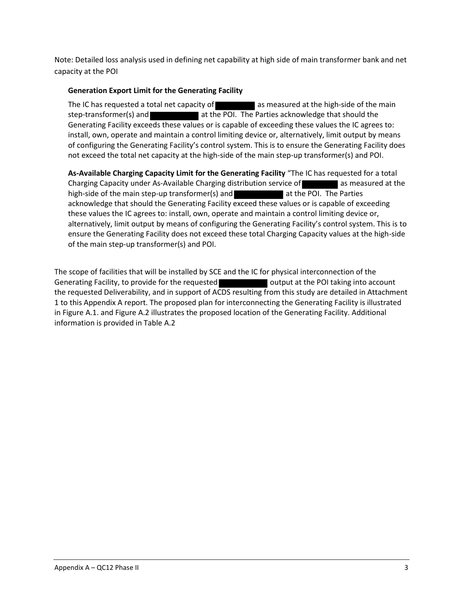Note: Detailed loss analysis used in defining net capability at high side of main transformer bank and net capacity at the POI

## **Generation Export Limit for the Generating Facility**

The IC has requested a total net capacity of  $\Box$  as measured at the high-side of the main step-transformer(s) and **at the POI.** The Parties acknowledge that should the Generating Facility exceeds these values or is capable of exceeding these values the IC agrees to: install, own, operate and maintain a control limiting device or, alternatively, limit output by means of configuring the Generating Facility's control system. This is to ensure the Generating Facility does not exceed the total net capacity at the high-side of the main step-up transformer(s) and POI.

**As-Available Charging Capacity Limit for the Generating Facility** "The IC has requested for a total Charging Capacity under As-Available Charging distribution service of **and a** as measured at the high-side of the main step-up transformer(s) and **at the POI.** The Parties acknowledge that should the Generating Facility exceed these values or is capable of exceeding these values the IC agrees to: install, own, operate and maintain a control limiting device or, alternatively, limit output by means of configuring the Generating Facility's control system. This is to ensure the Generating Facility does not exceed these total Charging Capacity values at the high-side of the main step-up transformer(s) and POI.

The scope of facilities that will be installed by SCE and the IC for physical interconnection of the Generating Facility, to provide for the requested **Container and Soutput at the POI taking into account** the requested Deliverability, and in support of ACDS resulting from this study are detailed in Attachment 1 to this Appendix A report. The proposed plan for interconnecting the Generating Facility is illustrated in Figure A.1. and Figure A.2 illustrates the proposed location of the Generating Facility. Additional information is provided in Table A.2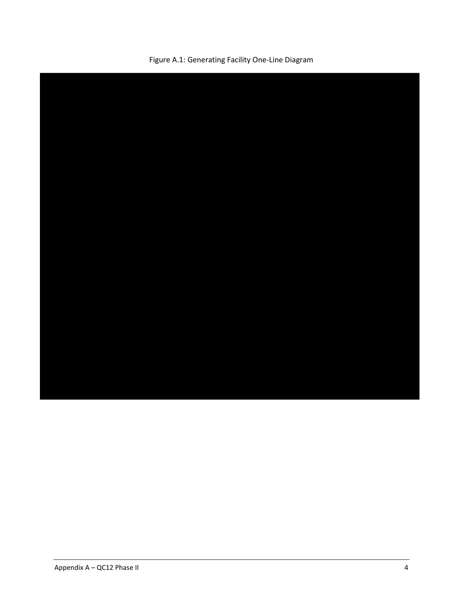

Figure A.1: Generating Facility One-Line Diagram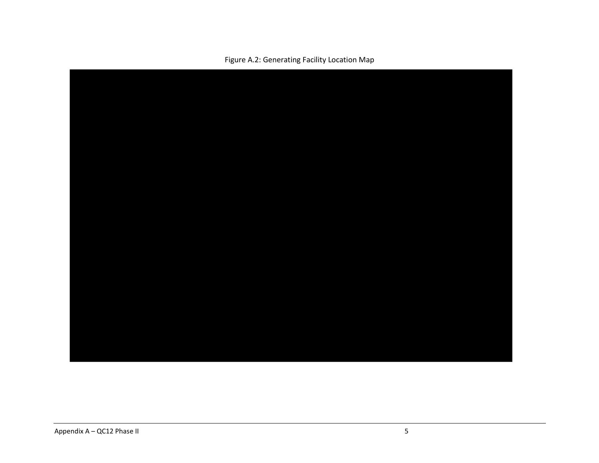

Figure A.2: Generating Facility Location Map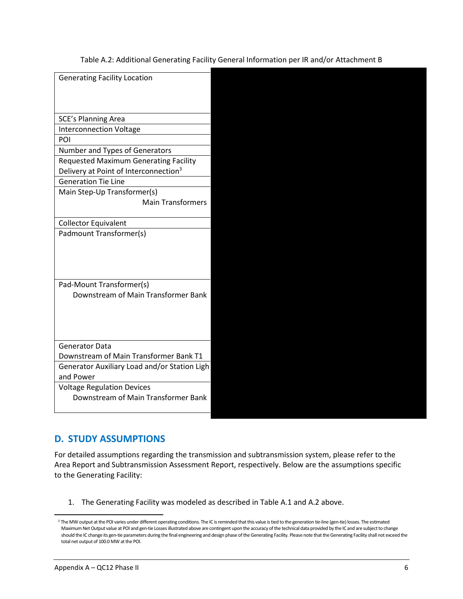Table A.2: Additional Generating Facility General Information per IR and/or Attachment B

| <b>Generating Facility Location</b>               |  |
|---------------------------------------------------|--|
|                                                   |  |
|                                                   |  |
| SCE's Planning Area                               |  |
| <b>Interconnection Voltage</b>                    |  |
| POI                                               |  |
| Number and Types of Generators                    |  |
| <b>Requested Maximum Generating Facility</b>      |  |
| Delivery at Point of Interconnection <sup>3</sup> |  |
| <b>Generation Tie Line</b>                        |  |
| Main Step-Up Transformer(s)                       |  |
| <b>Main Transformers</b>                          |  |
|                                                   |  |
| <b>Collector Equivalent</b>                       |  |
| Padmount Transformer(s)                           |  |
|                                                   |  |
|                                                   |  |
|                                                   |  |
|                                                   |  |
| Pad-Mount Transformer(s)                          |  |
| Downstream of Main Transformer Bank               |  |
|                                                   |  |
|                                                   |  |
|                                                   |  |
| <b>Generator Data</b>                             |  |
| Downstream of Main Transformer Bank T1            |  |
| Generator Auxiliary Load and/or Station Ligh      |  |
| and Power                                         |  |
| <b>Voltage Regulation Devices</b>                 |  |
| Downstream of Main Transformer Bank               |  |
|                                                   |  |
|                                                   |  |

# <span id="page-8-0"></span>**D. STUDY ASSUMPTIONS**

For detailed assumptions regarding the transmission and subtransmission system, please refer to the Area Report and Subtransmission Assessment Report, respectively. Below are the assumptions specific to the Generating Facility:

1. The Generating Facility was modeled as described in Table A.1 and A.2 above.

<sup>&</sup>lt;sup>3</sup> The MW output at the POI varies under different operating conditions. The IC is reminded that this value is tied to the generation tie-line (gen-tie) losses. The estimated Maximum Net Output value at POI and gen-tie Losses illustrated above are contingent upon the accuracy of the technical data provided by the IC and are subject to change should the IC change its gen-tie parameters during the final engineering and design phase of the Generating Facility. Please note that the Generating Facility shall not exceed the total net output of 100.0 MW at the POI.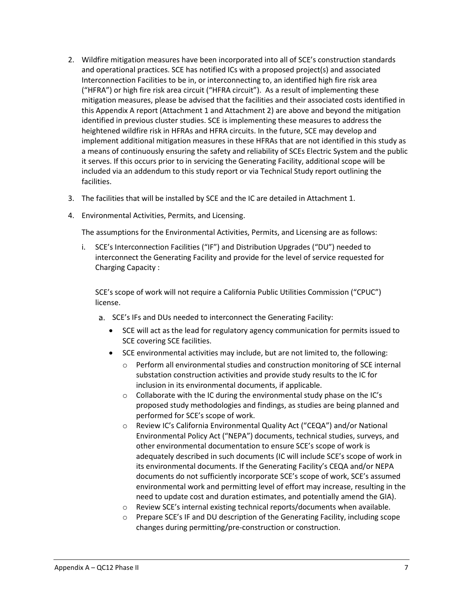- 2. Wildfire mitigation measures have been incorporated into all of SCE's construction standards and operational practices. SCE has notified ICs with a proposed project(s) and associated Interconnection Facilities to be in, or interconnecting to, an identified high fire risk area ("HFRA") or high fire risk area circuit ("HFRA circuit"). As a result of implementing these mitigation measures, please be advised that the facilities and their associated costs identified in this Appendix A report (Attachment 1 and Attachment 2) are above and beyond the mitigation identified in previous cluster studies. SCE is implementing these measures to address the heightened wildfire risk in HFRAs and HFRA circuits. In the future, SCE may develop and implement additional mitigation measures in these HFRAs that are not identified in this study as a means of continuously ensuring the safety and reliability of SCEs Electric System and the public it serves. If this occurs prior to in servicing the Generating Facility, additional scope will be included via an addendum to this study report or via Technical Study report outlining the facilities.
- 3. The facilities that will be installed by SCE and the IC are detailed in Attachment 1.
- 4. Environmental Activities, Permits, and Licensing.

The assumptions for the Environmental Activities, Permits, and Licensing are as follows:

i. SCE's Interconnection Facilities ("IF") and Distribution Upgrades ("DU") needed to interconnect the Generating Facility and provide for the level of service requested for Charging Capacity :

SCE's scope of work will not require a California Public Utilities Commission ("CPUC") license.

- a. SCE's IFs and DUs needed to interconnect the Generating Facility:
	- SCE will act as the lead for regulatory agency communication for permits issued to SCE covering SCE facilities.
	- SCE environmental activities may include, but are not limited to, the following:
		- o Perform all environmental studies and construction monitoring of SCE internal substation construction activities and provide study results to the IC for inclusion in its environmental documents, if applicable.
		- o Collaborate with the IC during the environmental study phase on the IC's proposed study methodologies and findings, as studies are being planned and performed for SCE's scope of work.
		- o Review IC's California Environmental Quality Act ("CEQA") and/or National Environmental Policy Act ("NEPA") documents, technical studies, surveys, and other environmental documentation to ensure SCE's scope of work is adequately described in such documents (IC will include SCE's scope of work in its environmental documents. If the Generating Facility's CEQA and/or NEPA documents do not sufficiently incorporate SCE's scope of work, SCE's assumed environmental work and permitting level of effort may increase, resulting in the need to update cost and duration estimates, and potentially amend the GIA).
		- o Review SCE's internal existing technical reports/documents when available.
		- $\circ$  Prepare SCE's IF and DU description of the Generating Facility, including scope changes during permitting/pre-construction or construction.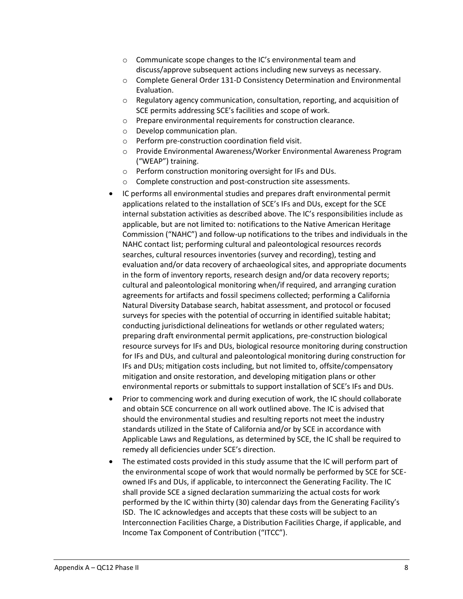- o Communicate scope changes to the IC's environmental team and discuss/approve subsequent actions including new surveys as necessary.
- o Complete General Order 131-D Consistency Determination and Environmental Evaluation.
- o Regulatory agency communication, consultation, reporting, and acquisition of SCE permits addressing SCE's facilities and scope of work.
- o Prepare environmental requirements for construction clearance.
- o Develop communication plan.
- o Perform pre-construction coordination field visit.
- o Provide Environmental Awareness/Worker Environmental Awareness Program ("WEAP") training.
- o Perform construction monitoring oversight for IFs and DUs.
- o Complete construction and post-construction site assessments.
- IC performs all environmental studies and prepares draft environmental permit applications related to the installation of SCE's IFs and DUs, except for the SCE internal substation activities as described above. The IC's responsibilities include as applicable, but are not limited to: notifications to the Native American Heritage Commission ("NAHC") and follow-up notifications to the tribes and individuals in the NAHC contact list; performing cultural and paleontological resources records searches, cultural resources inventories (survey and recording), testing and evaluation and/or data recovery of archaeological sites, and appropriate documents in the form of inventory reports, research design and/or data recovery reports; cultural and paleontological monitoring when/if required, and arranging curation agreements for artifacts and fossil specimens collected; performing a California Natural Diversity Database search, habitat assessment, and protocol or focused surveys for species with the potential of occurring in identified suitable habitat; conducting jurisdictional delineations for wetlands or other regulated waters; preparing draft environmental permit applications, pre-construction biological resource surveys for IFs and DUs, biological resource monitoring during construction for IFs and DUs, and cultural and paleontological monitoring during construction for IFs and DUs; mitigation costs including, but not limited to, offsite/compensatory mitigation and onsite restoration, and developing mitigation plans or other environmental reports or submittals to support installation of SCE's IFs and DUs.
- Prior to commencing work and during execution of work, the IC should collaborate and obtain SCE concurrence on all work outlined above. The IC is advised that should the environmental studies and resulting reports not meet the industry standards utilized in the State of California and/or by SCE in accordance with Applicable Laws and Regulations, as determined by SCE, the IC shall be required to remedy all deficiencies under SCE's direction.
- The estimated costs provided in this study assume that the IC will perform part of the environmental scope of work that would normally be performed by SCE for SCEowned IFs and DUs, if applicable, to interconnect the Generating Facility. The IC shall provide SCE a signed declaration summarizing the actual costs for work performed by the IC within thirty (30) calendar days from the Generating Facility's ISD. The IC acknowledges and accepts that these costs will be subject to an Interconnection Facilities Charge, a Distribution Facilities Charge, if applicable, and Income Tax Component of Contribution ("ITCC").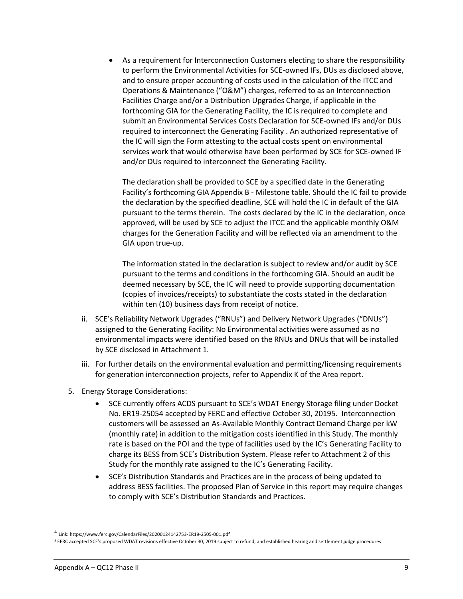• As a requirement for Interconnection Customers electing to share the responsibility to perform the Environmental Activities for SCE-owned IFs, DUs as disclosed above, and to ensure proper accounting of costs used in the calculation of the ITCC and Operations & Maintenance ("O&M") charges, referred to as an Interconnection Facilities Charge and/or a Distribution Upgrades Charge, if applicable in the forthcoming GIA for the Generating Facility, the IC is required to complete and submit an Environmental Services Costs Declaration for SCE-owned IFs and/or DUs required to interconnect the Generating Facility . An authorized representative of the IC will sign the Form attesting to the actual costs spent on environmental services work that would otherwise have been performed by SCE for SCE-owned IF and/or DUs required to interconnect the Generating Facility.

The declaration shall be provided to SCE by a specified date in the Generating Facility's forthcoming GIA Appendix B - Milestone table. Should the IC fail to provide the declaration by the specified deadline, SCE will hold the IC in default of the GIA pursuant to the terms therein. The costs declared by the IC in the declaration, once approved, will be used by SCE to adjust the ITCC and the applicable monthly O&M charges for the Generation Facility and will be reflected via an amendment to the GIA upon true-up.

The information stated in the declaration is subject to review and/or audit by SCE pursuant to the terms and conditions in the forthcoming GIA. Should an audit be deemed necessary by SCE, the IC will need to provide supporting documentation (copies of invoices/receipts) to substantiate the costs stated in the declaration within ten (10) business days from receipt of notice.

- ii. SCE's Reliability Network Upgrades ("RNUs") and Delivery Network Upgrades ("DNUs") assigned to the Generating Facility: No Environmental activities were assumed as no environmental impacts were identified based on the RNUs and DNUs that will be installed by SCE disclosed in Attachment 1*.*
- iii. For further details on the environmental evaluation and permitting/licensing requirements for generation interconnection projects, refer to Appendix K of the Area report.
- 5. Energy Storage Considerations:
	- SCE currently offers ACDS pursuant to SCE's WDAT Energy Storage filing under Docket No. ER19-25054 accepted by FERC and effective October 30, 20195. Interconnection customers will be assessed an As-Available Monthly Contract Demand Charge per kW (monthly rate) in addition to the mitigation costs identified in this Study. The monthly rate is based on the POI and the type of facilities used by the IC's Generating Facility to charge its BESS from SCE's Distribution System. Please refer to Attachment 2 of this Study for the monthly rate assigned to the IC's Generating Facility.
	- SCE's Distribution Standards and Practices are in the process of being updated to address BESS facilities. The proposed Plan of Service in this report may require changes to comply with SCE's Distribution Standards and Practices.

<sup>4</sup> Link: https://www.ferc.gov/CalendarFiles/20200124142753-ER19-2505-001.pdf

<sup>5</sup> FERC accepted SCE's proposed WDAT revisions effective October 30, 2019 subject to refund, and established hearing and settlement judge procedures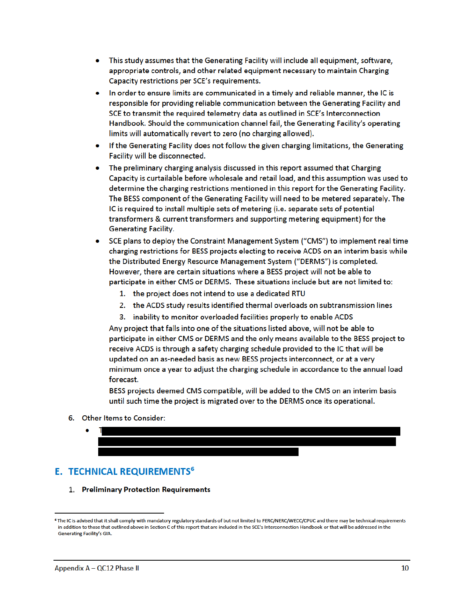- This study assumes that the Generating Facility will include all equipment, software, appropriate controls, and other related equipment necessary to maintain Charging Capacity restrictions per SCE's requirements.
- In order to ensure limits are communicated in a timely and reliable manner, the IC is  $\bullet$ responsible for providing reliable communication between the Generating Facility and SCE to transmit the required telemetry data as outlined in SCE's Interconnection Handbook. Should the communication channel fail, the Generating Facility's operating limits will automatically revert to zero (no charging allowed).
- If the Generating Facility does not follow the given charging limitations, the Generating  $\bullet$ Facility will be disconnected.
- The preliminary charging analysis discussed in this report assumed that Charging Capacity is curtailable before wholesale and retail load, and this assumption was used to determine the charging restrictions mentioned in this report for the Generating Facility. The BESS component of the Generating Facility will need to be metered separately. The IC is required to install multiple sets of metering (i.e. separate sets of potential transformers & current transformers and supporting metering equipment) for the **Generating Facility.**
- SCE plans to deploy the Constraint Management System ("CMS") to implement real time charging restrictions for BESS projects electing to receive ACDS on an interim basis while the Distributed Energy Resource Management System ("DERMS") is completed. However, there are certain situations where a BESS project will not be able to participate in either CMS or DERMS. These situations include but are not limited to:
	- 1. the project does not intend to use a dedicated RTU
	- 2. the ACDS study results identified thermal overloads on subtransmission lines
	- 3. inability to monitor overloaded facilities properly to enable ACDS

Any project that falls into one of the situations listed above, will not be able to participate in either CMS or DERMS and the only means available to the BESS project to receive ACDS is through a safety charging schedule provided to the IC that will be updated on an as-needed basis as new BESS projects interconnect, or at a very minimum once a year to adjust the charging schedule in accordance to the annual load forecast.

BESS projects deemed CMS compatible, will be added to the CMS on an interim basis until such time the project is migrated over to the DERMS once its operational.

- 6. Other Items to Consider:
	-

# **E. TECHNICAL REQUIREMENTS<sup>6</sup>**

1. Preliminary Protection Requirements

<sup>&</sup>lt;sup>6</sup> The IC is advised that it shall comply with mandatory regulatory standards of but not limited to FERC/NERC/WECC/CPUC and there may be technical requirements in addition to those that outlined above in Section C of this report that are included in the SCE's Interconnection Handbook or that will be addressed in the Generating Facility's GIA.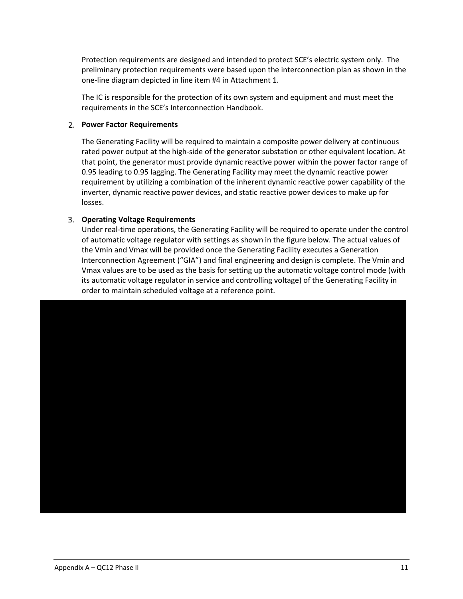Protection requirements are designed and intended to protect SCE's electric system only. The preliminary protection requirements were based upon the interconnection plan as shown in the one-line diagram depicted in line item #4 in Attachment 1.

The IC is responsible for the protection of its own system and equipment and must meet the requirements in the SCE's Interconnection Handbook.

#### **Power Factor Requirements**

The Generating Facility will be required to maintain a composite power delivery at continuous rated power output at the high-side of the generator substation or other equivalent location. At that point, the generator must provide dynamic reactive power within the power factor range of 0.95 leading to 0.95 lagging. The Generating Facility may meet the dynamic reactive power requirement by utilizing a combination of the inherent dynamic reactive power capability of the inverter, dynamic reactive power devices, and static reactive power devices to make up for losses.

### **Operating Voltage Requirements**

Under real-time operations, the Generating Facility will be required to operate under the control of automatic voltage regulator with settings as shown in the figure below. The actual values of the Vmin and Vmax will be provided once the Generating Facility executes a Generation Interconnection Agreement ("GIA") and final engineering and design is complete. The Vmin and Vmax values are to be used as the basis for setting up the automatic voltage control mode (with its automatic voltage regulator in service and controlling voltage) of the Generating Facility in order to maintain scheduled voltage at a reference point.

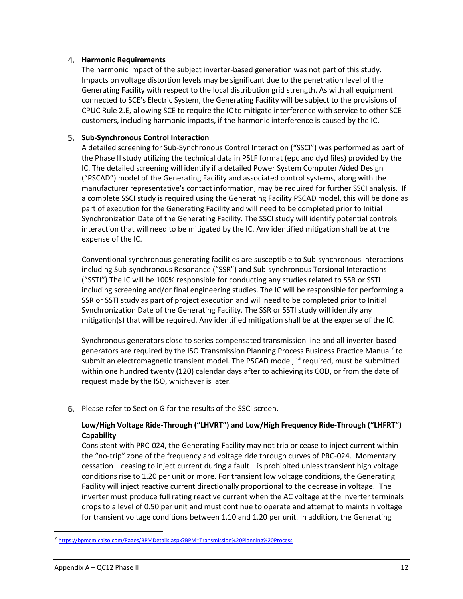#### **Harmonic Requirements**

The harmonic impact of the subject inverter-based generation was not part of this study. Impacts on voltage distortion levels may be significant due to the penetration level of the Generating Facility with respect to the local distribution grid strength. As with all equipment connected to SCE's Electric System, the Generating Facility will be subject to the provisions of CPUC Rule 2.E, allowing SCE to require the IC to mitigate interference with service to other SCE customers, including harmonic impacts, if the harmonic interference is caused by the IC.

### **Sub-Synchronous Control Interaction**

A detailed screening for Sub-Synchronous Control Interaction ("SSCI") was performed as part of the Phase II study utilizing the technical data in PSLF format (epc and dyd files) provided by the IC. The detailed screening will identify if a detailed Power System Computer Aided Design ("PSCAD") model of the Generating Facility and associated control systems, along with the manufacturer representative's contact information, may be required for further SSCI analysis. If a complete SSCI study is required using the Generating Facility PSCAD model, this will be done as part of execution for the Generating Facility and will need to be completed prior to Initial Synchronization Date of the Generating Facility. The SSCI study will identify potential controls interaction that will need to be mitigated by the IC. Any identified mitigation shall be at the expense of the IC.

Conventional synchronous generating facilities are susceptible to Sub-synchronous Interactions including Sub-synchronous Resonance ("SSR") and Sub-synchronous Torsional Interactions ("SSTI") The IC will be 100% responsible for conducting any studies related to SSR or SSTI including screening and/or final engineering studies. The IC will be responsible for performing a SSR or SSTI study as part of project execution and will need to be completed prior to Initial Synchronization Date of the Generating Facility. The SSR or SSTI study will identify any mitigation(s) that will be required. Any identified mitigation shall be at the expense of the IC.

Synchronous generators close to series compensated transmission line and all inverter-based generators are required by the ISO Transmission Planning Process Business Practice Manual<sup>7</sup> to submit an electromagnetic transient model. The PSCAD model, if required, must be submitted within one hundred twenty (120) calendar days after to achieving its COD, or from the date of request made by the ISO, whichever is later.

Please refer to Section G for the results of the SSCI screen.

## **Low/High Voltage Ride-Through ("LHVRT") and Low/High Frequency Ride-Through ("LHFRT") Capability**

Consistent with PRC-024, the Generating Facility may not trip or cease to inject current within the "no-trip" zone of the frequency and voltage ride through curves of PRC-024. Momentary cessation—ceasing to inject current during a fault—is prohibited unless transient high voltage conditions rise to 1.20 per unit or more. For transient low voltage conditions, the Generating Facility will inject reactive current directionally proportional to the decrease in voltage. The inverter must produce full rating reactive current when the AC voltage at the inverter terminals drops to a level of 0.50 per unit and must continue to operate and attempt to maintain voltage for transient voltage conditions between 1.10 and 1.20 per unit. In addition, the Generating

<sup>7</sup> https://bpmcm.caiso.com/Pages/BPMDetails.aspx?BPM=Transmission%20Planning%20Process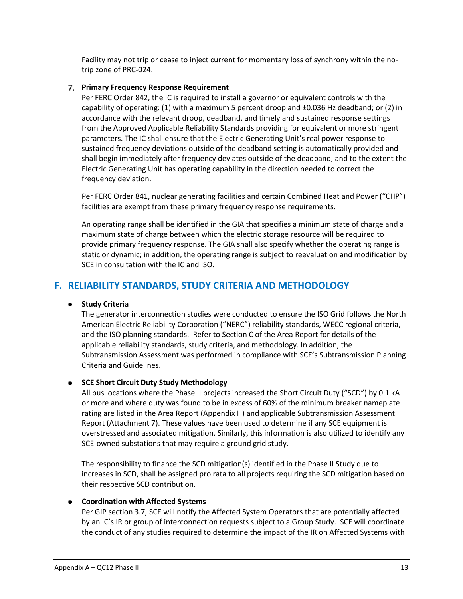Facility may not trip or cease to inject current for momentary loss of synchrony within the notrip zone of PRC-024.

#### **Primary Frequency Response Requirement**

Per FERC Order 842, the IC is required to install a governor or equivalent controls with the capability of operating: (1) with a maximum 5 percent droop and ±0.036 Hz deadband; or (2) in accordance with the relevant droop, deadband, and timely and sustained response settings from the Approved Applicable Reliability Standards providing for equivalent or more stringent parameters. The IC shall ensure that the Electric Generating Unit's real power response to sustained frequency deviations outside of the deadband setting is automatically provided and shall begin immediately after frequency deviates outside of the deadband, and to the extent the Electric Generating Unit has operating capability in the direction needed to correct the frequency deviation.

Per FERC Order 841, nuclear generating facilities and certain Combined Heat and Power ("CHP") facilities are exempt from these primary frequency response requirements.

An operating range shall be identified in the GIA that specifies a minimum state of charge and a maximum state of charge between which the electric storage resource will be required to provide primary frequency response. The GIA shall also specify whether the operating range is static or dynamic; in addition, the operating range is subject to reevaluation and modification by SCE in consultation with the IC and ISO.

# <span id="page-15-0"></span>**F. RELIABILITY STANDARDS, STUDY CRITERIA AND METHODOLOGY**

#### **•** Study Criteria

The generator interconnection studies were conducted to ensure the ISO Grid follows the North American Electric Reliability Corporation ("NERC") reliability standards, WECC regional criteria, and the ISO planning standards. Refer to Section C of the Area Report for details of the applicable reliability standards, study criteria, and methodology. In addition, the Subtransmission Assessment was performed in compliance with SCE's Subtransmission Planning Criteria and Guidelines.

## **SCE Short Circuit Duty Study Methodology**

All bus locations where the Phase II projects increased the Short Circuit Duty ("SCD") by 0.1 kA or more and where duty was found to be in excess of 60% of the minimum breaker nameplate rating are listed in the Area Report (Appendix H) and applicable Subtransmission Assessment Report (Attachment 7). These values have been used to determine if any SCE equipment is overstressed and associated mitigation. Similarly, this information is also utilized to identify any SCE-owned substations that may require a ground grid study.

The responsibility to finance the SCD mitigation(s) identified in the Phase II Study due to increases in SCD, shall be assigned pro rata to all projects requiring the SCD mitigation based on their respective SCD contribution.

#### **Coordination with Affected Systems**

Per GIP section 3.7, SCE will notify the Affected System Operators that are potentially affected by an IC's IR or group of interconnection requests subject to a Group Study. SCE will coordinate the conduct of any studies required to determine the impact of the IR on Affected Systems with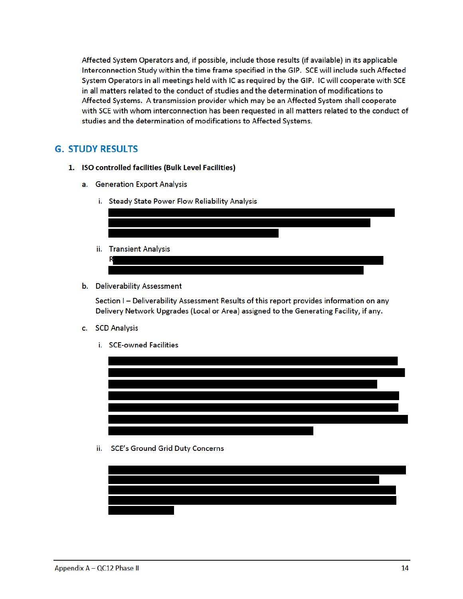Affected System Operators and, if possible, include those results (if available) in its applicable Interconnection Study within the time frame specified in the GIP. SCE will include such Affected System Operators in all meetings held with IC as required by the GIP. IC will cooperate with SCE in all matters related to the conduct of studies and the determination of modifications to Affected Systems. A transmission provider which may be an Affected System shall cooperate with SCE with whom interconnection has been requested in all matters related to the conduct of studies and the determination of modifications to Affected Systems.

## **G. STUDY RESULTS**

- 1. ISO controlled facilities (Bulk Level Facilities)
	- a. Generation Export Analysis
		- i. Steady State Power Flow Reliability Analysis



b. Deliverability Assessment

Section I - Deliverability Assessment Results of this report provides information on any Delivery Network Upgrades (Local or Area) assigned to the Generating Facility, if any.

- c. SCD Analysis
	- i. SCE-owned Facilities



ii. SCE's Ground Grid Duty Concerns

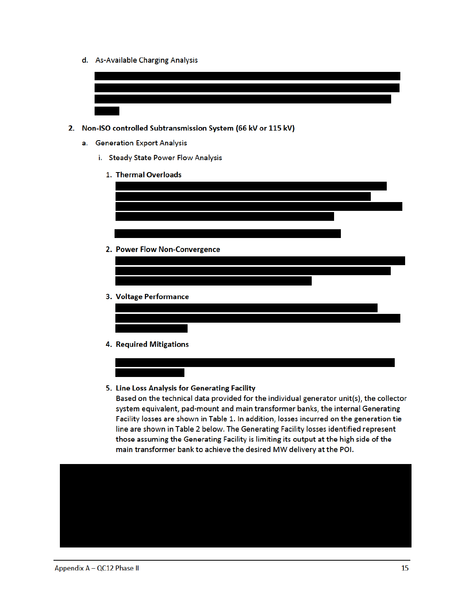d. As-Available Charging Analysis



- 2. Non-ISO controlled Subtransmission System (66 kV or 115 kV)
	- a. Generation Export Analysis
		- i. Steady State Power Flow Analysis
			- 1. Thermal Overloads

| 2. Power Flow Non-Convergence |
|-------------------------------|
|                               |
|                               |
|                               |
|                               |
|                               |
|                               |
|                               |
|                               |
| 3. Voltage Performance        |
|                               |
|                               |
|                               |
| 4. Required Mitigations       |
|                               |

5. Line Loss Analysis for Generating Facility

Based on the technical data provided for the individual generator unit(s), the collector system equivalent, pad-mount and main transformer banks, the internal Generating Facility losses are shown in Table 1. In addition, losses incurred on the generation tie line are shown in Table 2 below. The Generating Facility losses identified represent those assuming the Generating Facility is limiting its output at the high side of the main transformer bank to achieve the desired MW delivery at the POI.

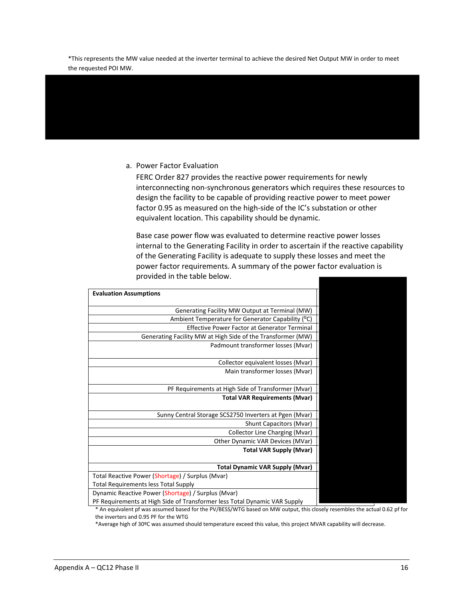\*This represents the MW value needed at the inverter terminal to achieve the desired Net Output MW in order to meet the requested POI MW.

#### a. Power Factor Evaluation

FERC Order 827 provides the reactive power requirements for newly interconnecting non-synchronous generators which requires these resources to design the facility to be capable of providing reactive power to meet power factor 0.95 as measured on the high-side of the IC's substation or other equivalent location. This capability should be dynamic.

Base case power flow was evaluated to determine reactive power losses internal to the Generating Facility in order to ascertain if the reactive capability of the Generating Facility is adequate to supply these losses and meet the power factor requirements. A summary of the power factor evaluation is provided in the table below.

| <b>Evaluation Assumptions</b>                               |
|-------------------------------------------------------------|
|                                                             |
| Generating Facility MW Output at Terminal (MW)              |
| Ambient Temperature for Generator Capability (°C)           |
| <b>Effective Power Factor at Generator Terminal</b>         |
| Generating Facility MW at High Side of the Transformer (MW) |
| Padmount transformer losses (Mvar)                          |
|                                                             |
| Collector equivalent losses (Mvar)                          |
| Main transformer losses (Mvar)                              |
|                                                             |
| PF Requirements at High Side of Transformer (Mvar)          |
| <b>Total VAR Requirements (Mvar)</b>                        |
|                                                             |
| Sunny Central Storage SCS2750 Inverters at Pgen (Mvar)      |
| Shunt Capacitors (Mvar)                                     |
| Collector Line Charging (Mvar)                              |
| Other Dynamic VAR Devices (MVar)                            |
| <b>Total VAR Supply (Mvar)</b>                              |
|                                                             |
|                                                             |
| <b>Total Dynamic VAR Supply (Mvar)</b>                      |
| Total Reactive Power (Shortage) / Surplus (Mvar)            |
| <b>Total Requirements less Total Supply</b>                 |
| Dynamic Reactive Power (Shortage) / Surplus (Mvar)          |

\* An equivalent pf was assumed based for the PV/BESS/WTG based on MW output, this closely resembles the actual 0.62 pf for the inverters and 0.95 PF for the WTG

\*Average high of 30ºC was assumed should temperature exceed this value, this project MVAR capability will decrease.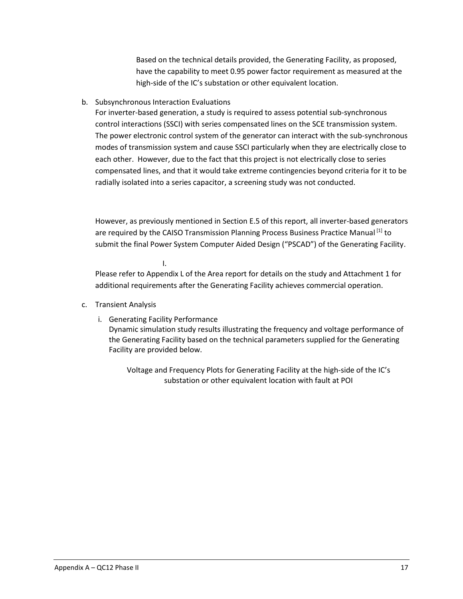Based on the technical details provided, the Generating Facility, as proposed, have the capability to meet 0.95 power factor requirement as measured at the high-side of the IC's substation or other equivalent location.

## b. Subsynchronous Interaction Evaluations

For inverter-based generation, a study is required to assess potential sub-synchronous control interactions (SSCI) with series compensated lines on the SCE transmission system. The power electronic control system of the generator can interact with the sub-synchronous modes of transmission system and cause SSCI particularly when they are electrically close to each other. However, due to the fact that this project is not electrically close to series compensated lines, and that it would take extreme contingencies beyond criteria for it to be radially isolated into a series capacitor, a screening study was not conducted.

However, as previously mentioned in Section E.5 of this report, all inverter-based generators are required by the CAISO Transmission Planning Process Business Practice Manual [1] to submit the final Power System Computer Aided Design ("PSCAD") of the Generating Facility.

I. Please refer to Appendix L of the Area report for details on the study and Attachment 1 for additional requirements after the Generating Facility achieves commercial operation.

#### c. Transient Analysis

i. Generating Facility Performance

Dynamic simulation study results illustrating the frequency and voltage performance of the Generating Facility based on the technical parameters supplied for the Generating Facility are provided below.

Voltage and Frequency Plots for Generating Facility at the high-side of the IC's substation or other equivalent location with fault at POI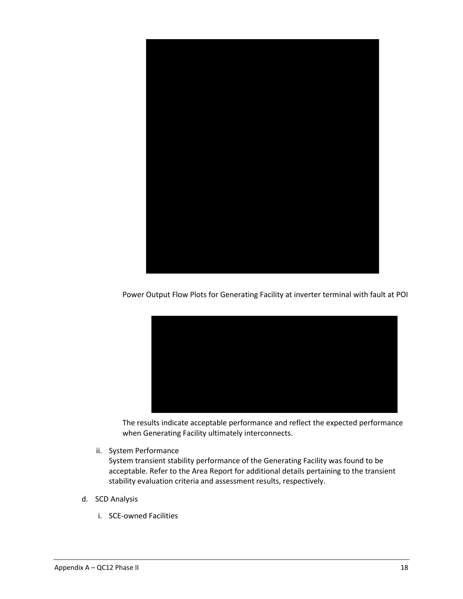

Power Output Flow Plots for Generating Facility at inverter terminal with fault at POI



The results indicate acceptable performance and reflect the expected performance when Generating Facility ultimately interconnects.

ii. System Performance

System transient stability performance of the Generating Facility was found to be acceptable. Refer to the Area Report for additional details pertaining to the transient stability evaluation criteria and assessment results, respectively.

- d. SCD Analysis
	- i. SCE-owned Facilities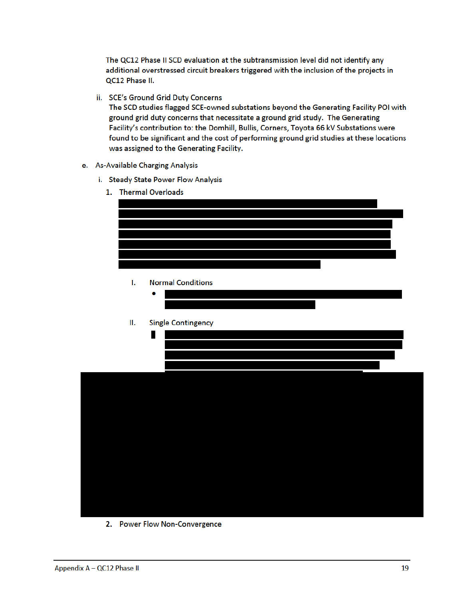The QC12 Phase II SCD evaluation at the subtransmission level did not identify any additional overstressed circuit breakers triggered with the inclusion of the projects in QC12 Phase II.

ii. SCE's Ground Grid Duty Concerns

The SCD studies flagged SCE-owned substations beyond the Generating Facility POI with ground grid duty concerns that necessitate a ground grid study. The Generating Facility's contribution to: the Domhill, Bullis, Corners, Toyota 66 kV Substations were found to be significant and the cost of performing ground grid studies at these locations was assigned to the Generating Facility.

- e. As-Available Charging Analysis
	- i. Steady State Power Flow Analysis
		- 1. Thermal Overloads



 $\mathbf{L}$ **Normal Conditions** 

| Ш. | <b>Single Contingency</b> |
|----|---------------------------|
|    |                           |
|    |                           |
|    |                           |
|    |                           |
|    |                           |
|    |                           |

2. Power Flow Non-Convergence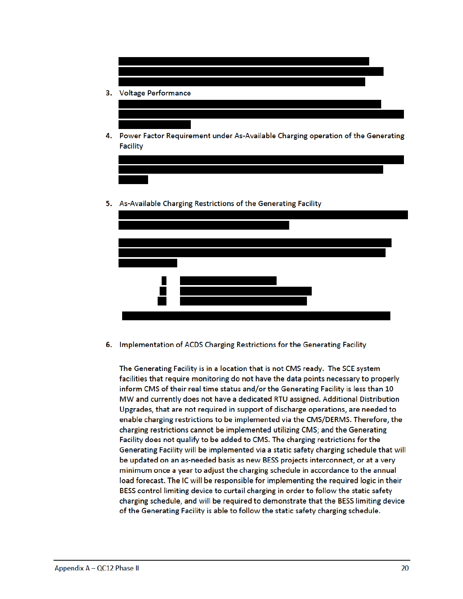

4. Power Factor Requirement under As-Available Charging operation of the Generating Facility





6. Implementation of ACDS Charging Restrictions for the Generating Facility

The Generating Facility is in a location that is not CMS ready. The SCE system facilities that require monitoring do not have the data points necessary to properly inform CMS of their real time status and/or the Generating Facility is less than 10 MW and currently does not have a dedicated RTU assigned. Additional Distribution Upgrades, that are not required in support of discharge operations, are needed to enable charging restrictions to be implemented via the CMS/DERMS. Therefore, the charging restrictions cannot be implemented utilizing CMS; and the Generating Facility does not qualify to be added to CMS. The charging restrictions for the Generating Facility will be implemented via a static safety charging schedule that will be updated on an as-needed basis as new BESS projects interconnect, or at a very minimum once a year to adjust the charging schedule in accordance to the annual load forecast. The IC will be responsible for implementing the required logic in their BESS control limiting device to curtail charging in order to follow the static safety charging schedule, and will be required to demonstrate that the BESS limiting device of the Generating Facility is able to follow the static safety charging schedule.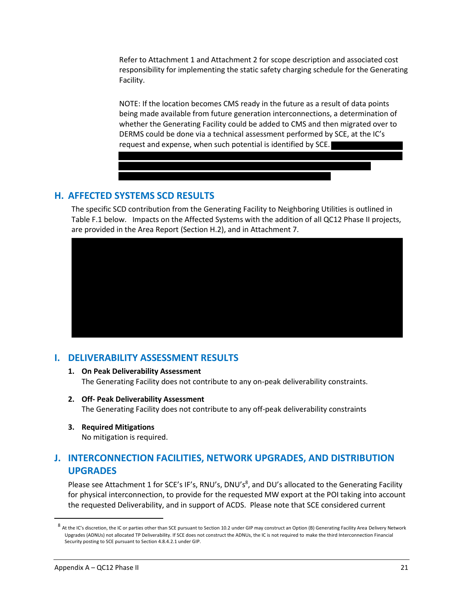Refer to Attachment 1 and Attachment 2 for scope description and associated cost responsibility for implementing the static safety charging schedule for the Generating Facility.

NOTE: If the location becomes CMS ready in the future as a result of data points being made available from future generation interconnections, a determination of whether the Generating Facility could be added to CMS and then migrated over to DERMS could be done via a technical assessment performed by SCE, at the IC's request and expense, when such potential is identified by SCE.

# <span id="page-23-0"></span>**H. AFFECTED SYSTEMS SCD RESULTS**

The specific SCD contribution from the Generating Facility to Neighboring Utilities is outlined in Table F.1 below. Impacts on the Affected Systems with the addition of all QC12 Phase II projects, are provided in the Area Report (Section H.2), and in Attachment 7.



# <span id="page-23-1"></span>**I. DELIVERABILITY ASSESSMENT RESULTS**

- **1. On Peak Deliverability Assessment** The Generating Facility does not contribute to any on-peak deliverability constraints.
- **2. Off- Peak Deliverability Assessment** The Generating Facility does not contribute to any off-peak deliverability constraints
- **3. Required Mitigations** No mitigation is required.

# <span id="page-23-2"></span>**J. INTERCONNECTION FACILITIES, NETWORK UPGRADES, AND DISTRIBUTION UPGRADES**

Please see Attachment 1 for SCE's IF's, RNU's, DNU's<sup>8</sup>, and DU's allocated to the Generating Facility for physical interconnection, to provide for the requested MW export at the POI taking into account the requested Deliverability, and in support of ACDS. Please note that SCE considered current

<sup>8&</sup>lt;br>At the IC's discretion, the IC or parties other than SCE pursuant to Section 10.2 under GIP may construct an Option (B) Generating Facility Area Delivery Network Upgrades (ADNUs) not allocated TP Deliverability. If SCE does not construct the ADNUs, the IC is not required to make the third Interconnection Financial Security posting to SCE pursuant to Section 4.8.4.2.1 under GIP.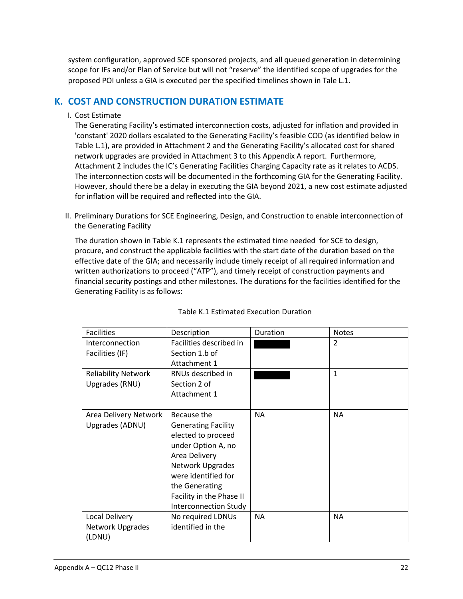system configuration, approved SCE sponsored projects, and all queued generation in determining scope for IFs and/or Plan of Service but will not "reserve" the identified scope of upgrades for the proposed POI unless a GIA is executed per the specified timelines shown in Tale L.1.

# <span id="page-24-0"></span>**K. COST AND CONSTRUCTION DURATION ESTIMATE**

I. Cost Estimate

The Generating Facility's estimated interconnection costs, adjusted for inflation and provided in 'constant' 2020 dollars escalated to the Generating Facility's feasible COD (as identified below in Table L.1), are provided in Attachment 2 and the Generating Facility's allocated cost for shared network upgrades are provided in Attachment 3 to this Appendix A report. Furthermore, Attachment 2 includes the IC's Generating Facilities Charging Capacity rate as it relates to ACDS. The interconnection costs will be documented in the forthcoming GIA for the Generating Facility. However, should there be a delay in executing the GIA beyond 2021, a new cost estimate adjusted for inflation will be required and reflected into the GIA.

II. Preliminary Durations for SCE Engineering, Design, and Construction to enable interconnection of the Generating Facility

The duration shown in Table K.1 represents the estimated time needed for SCE to design, procure, and construct the applicable facilities with the start date of the duration based on the effective date of the GIA; and necessarily include timely receipt of all required information and written authorizations to proceed ("ATP"), and timely receipt of construction payments and financial security postings and other milestones. The durations for the facilities identified for the Generating Facility is as follows:

| <b>Facilities</b>                  | Description                               | Duration  | <b>Notes</b> |
|------------------------------------|-------------------------------------------|-----------|--------------|
| Interconnection<br>Facilities (IF) | Facilities described in<br>Section 1.b of |           | 2            |
|                                    | Attachment 1                              |           |              |
| <b>Reliability Network</b>         | RNUs described in                         |           | 1            |
| Upgrades (RNU)                     | Section 2 of                              |           |              |
|                                    | Attachment 1                              |           |              |
|                                    |                                           |           |              |
| Area Delivery Network              | Because the                               | <b>NA</b> | <b>NA</b>    |
| Upgrades (ADNU)                    | <b>Generating Facility</b>                |           |              |
|                                    | elected to proceed                        |           |              |
|                                    | under Option A, no                        |           |              |
|                                    | Area Delivery                             |           |              |
|                                    | Network Upgrades                          |           |              |
|                                    | were identified for                       |           |              |
|                                    | the Generating                            |           |              |
|                                    | Facility in the Phase II                  |           |              |
|                                    | <b>Interconnection Study</b>              |           |              |
| Local Delivery                     | No required LDNUs                         | <b>NA</b> | <b>NA</b>    |
| <b>Network Upgrades</b>            | identified in the                         |           |              |
| (LDNU)                             |                                           |           |              |

#### Table K.1 Estimated Execution Duration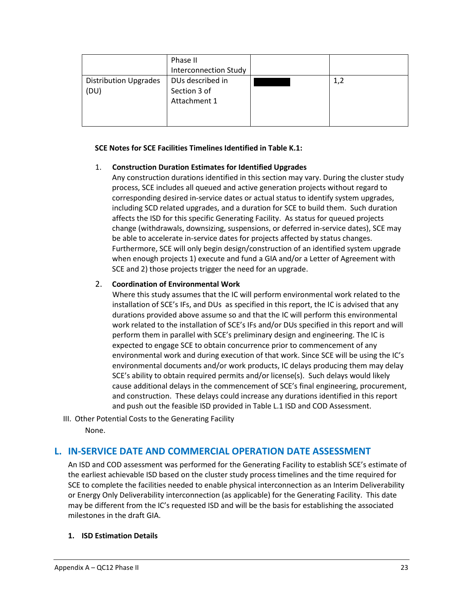|                              | Phase II                     |     |
|------------------------------|------------------------------|-----|
|                              | <b>Interconnection Study</b> |     |
| <b>Distribution Upgrades</b> | DUs described in             | 1,2 |
| (DU)                         | Section 3 of                 |     |
|                              | Attachment 1                 |     |
|                              |                              |     |
|                              |                              |     |

#### **SCE Notes for SCE Facilities Timelines Identified in Table K.1:**

### 1. **Construction Duration Estimates for Identified Upgrades**

Any construction durations identified in this section may vary. During the cluster study process, SCE includes all queued and active generation projects without regard to corresponding desired in-service dates or actual status to identify system upgrades, including SCD related upgrades, and a duration for SCE to build them. Such duration affects the ISD for this specific Generating Facility. As status for queued projects change (withdrawals, downsizing, suspensions, or deferred in-service dates), SCE may be able to accelerate in-service dates for projects affected by status changes. Furthermore, SCE will only begin design/construction of an identified system upgrade when enough projects 1) execute and fund a GIA and/or a Letter of Agreement with SCE and 2) those projects trigger the need for an upgrade.

### 2. **Coordination of Environmental Work**

Where this study assumes that the IC will perform environmental work related to the installation of SCE's IFs, and DUs as specified in this report, the IC is advised that any durations provided above assume so and that the IC will perform this environmental work related to the installation of SCE's IFs and/or DUs specified in this report and will perform them in parallel with SCE's preliminary design and engineering. The IC is expected to engage SCE to obtain concurrence prior to commencement of any environmental work and during execution of that work. Since SCE will be using the IC's environmental documents and/or work products, IC delays producing them may delay SCE's ability to obtain required permits and/or license(s). Such delays would likely cause additional delays in the commencement of SCE's final engineering, procurement, and construction. These delays could increase any durations identified in this report and push out the feasible ISD provided in Table L.1 ISD and COD Assessment.

III. Other Potential Costs to the Generating Facility None.

## <span id="page-25-0"></span>**L. IN-SERVICE DATE AND COMMERCIAL OPERATION DATE ASSESSMENT**

An ISD and COD assessment was performed for the Generating Facility to establish SCE's estimate of the earliest achievable ISD based on the cluster study process timelines and the time required for SCE to complete the facilities needed to enable physical interconnection as an Interim Deliverability or Energy Only Deliverability interconnection (as applicable) for the Generating Facility. This date may be different from the IC's requested ISD and will be the basis for establishing the associated milestones in the draft GIA.

#### **1. ISD Estimation Details**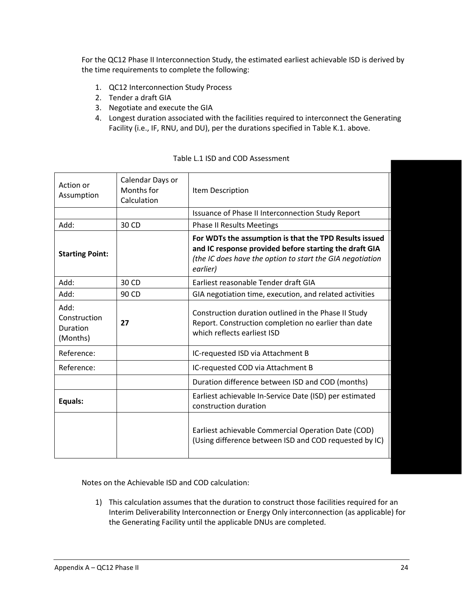For the QC12 Phase II Interconnection Study, the estimated earliest achievable ISD is derived by the time requirements to complete the following:

- 1. QC12 Interconnection Study Process
- 2. Tender a draft GIA
- 3. Negotiate and execute the GIA
- 4. Longest duration associated with the facilities required to interconnect the Generating Facility (i.e., IF, RNU, and DU), per the durations specified in Table K.1. above.

| Action or<br>Assumption                      | Calendar Days or<br>Months for<br>Calculation | Item Description                                                                                                                                                                          |
|----------------------------------------------|-----------------------------------------------|-------------------------------------------------------------------------------------------------------------------------------------------------------------------------------------------|
|                                              |                                               | Issuance of Phase II Interconnection Study Report                                                                                                                                         |
| Add:                                         | 30 CD                                         | <b>Phase II Results Meetings</b>                                                                                                                                                          |
| <b>Starting Point:</b>                       |                                               | For WDTs the assumption is that the TPD Results issued<br>and IC response provided before starting the draft GIA<br>(the IC does have the option to start the GIA negotiation<br>earlier) |
| Add:                                         | 30 CD                                         | Earliest reasonable Tender draft GIA                                                                                                                                                      |
| Add:                                         | 90 CD                                         | GIA negotiation time, execution, and related activities                                                                                                                                   |
| Add:<br>Construction<br>Duration<br>(Months) | 27                                            | Construction duration outlined in the Phase II Study<br>Report. Construction completion no earlier than date<br>which reflects earliest ISD                                               |
| Reference:                                   |                                               | IC-requested ISD via Attachment B                                                                                                                                                         |
| Reference:                                   |                                               | IC-requested COD via Attachment B                                                                                                                                                         |
|                                              |                                               | Duration difference between ISD and COD (months)                                                                                                                                          |
| Equals:                                      |                                               | Earliest achievable In-Service Date (ISD) per estimated<br>construction duration                                                                                                          |
|                                              |                                               | Earliest achievable Commercial Operation Date (COD)<br>(Using difference between ISD and COD requested by IC)                                                                             |

#### Table L.1 ISD and COD Assessment

Notes on the Achievable ISD and COD calculation:

1) This calculation assumes that the duration to construct those facilities required for an Interim Deliverability Interconnection or Energy Only interconnection (as applicable) for the Generating Facility until the applicable DNUs are completed.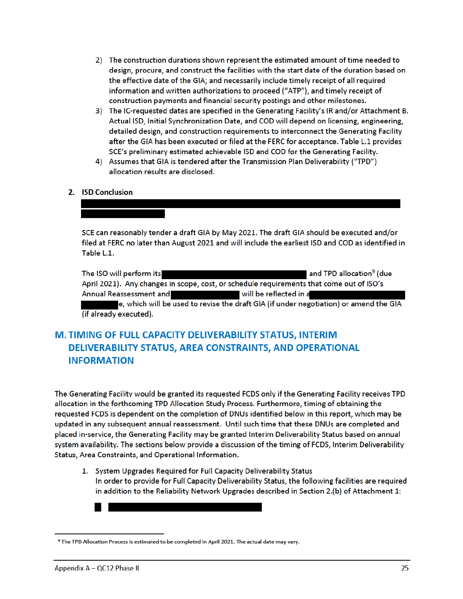- 2) The construction durations shown represent the estimated amount of time needed to design, procure, and construct the facilities with the start date of the duration based on the effective date of the GIA; and necessarily include timely receipt of all required information and written authorizations to proceed ("ATP"), and timely receipt of construction payments and financial security postings and other milestones.
- 3) The IC-requested dates are specified in the Generating Facility's IR and/or Attachment B. Actual ISD, Initial Synchronization Date, and COD will depend on licensing, engineering, detailed design, and construction requirements to interconnect the Generating Facility after the GIA has been executed or filed at the FERC for acceptance. Table L.1 provides SCE's preliminary estimated achievable ISD and COD for the Generating Facility.
- 4) Assumes that GIA is tendered after the Transmission Plan Deliverability ("TPD") allocation results are disclosed.

### 2. ISD Conclusion

SCE can reasonably tender a draft GIA by May 2021. The draft GIA should be executed and/or filed at FERC no later than August 2021 and will include the earliest ISD and COD as identified in Table L.1.

The ISO will perform its and TPD allocation<sup>9</sup> (due April 2021). Any changes in scope, cost, or schedule requirements that come out of ISO's **Annual Reassessment and** will be reflected in a e, which will be used to revise the draft GIA (if under negotiation) or amend the GIA (if already executed).

# M. TIMING OF FULL CAPACITY DELIVERABILITY STATUS, INTERIM **DELIVERABILITY STATUS, AREA CONSTRAINTS, AND OPERATIONAL INFORMATION**

The Generating Facility would be granted its requested FCDS only if the Generating Facility receives TPD allocation in the forthcoming TPD Allocation Study Process. Furthermore, timing of obtaining the requested FCDS is dependent on the completion of DNUs identified below in this report, which may be updated in any subsequent annual reassessment. Until such time that these DNUs are completed and placed in-service, the Generating Facility may be granted Interim Deliverability Status based on annual system availability. The sections below provide a discussion of the timing of FCDS, Interim Deliverability Status, Area Constraints, and Operational Information.

1. System Upgrades Required for Full Capacity Deliverability Status In order to provide for Full Capacity Deliverability Status, the following facilities are required in addition to the Reliability Network Upgrades described in Section 2.(b) of Attachment 1:

<sup>9</sup> The TPD Allocation Process is estimated to be completed in April 2021. The actual date may vary.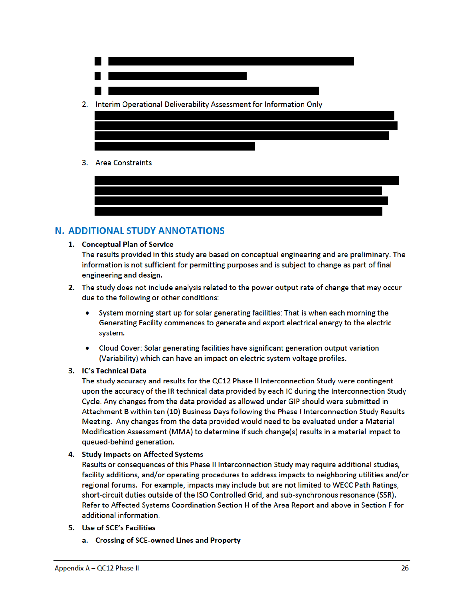

# **N. ADDITIONAL STUDY ANNOTATIONS**

#### 1. Conceptual Plan of Service

The results provided in this study are based on conceptual engineering and are preliminary. The information is not sufficient for permitting purposes and is subject to change as part of final engineering and design.

- 2. The study does not include analysis related to the power output rate of change that may occur due to the following or other conditions:
	- System morning start up for solar generating facilities: That is when each morning the Generating Facility commences to generate and export electrical energy to the electric system.
	- Cloud Cover: Solar generating facilities have significant generation output variation (Variability) which can have an impact on electric system voltage profiles.

## 3. IC's Technical Data

The study accuracy and results for the QC12 Phase II Interconnection Study were contingent upon the accuracy of the IR technical data provided by each IC during the Interconnection Study Cycle. Any changes from the data provided as allowed under GIP should were submitted in Attachment B within ten (10) Business Days following the Phase I Interconnection Study Results Meeting. Any changes from the data provided would need to be evaluated under a Material Modification Assessment (MMA) to determine if such change(s) results in a material impact to queued-behind generation.

## 4. Study Impacts on Affected Systems

Results or consequences of this Phase II Interconnection Study may require additional studies, facility additions, and/or operating procedures to address impacts to neighboring utilities and/or regional forums. For example, impacts may include but are not limited to WECC Path Ratings, short-circuit duties outside of the ISO Controlled Grid, and sub-synchronous resonance (SSR). Refer to Affected Systems Coordination Section H of the Area Report and above in Section F for additional information.

- 5. Use of SCE's Facilities
	- a. Crossing of SCE-owned Lines and Property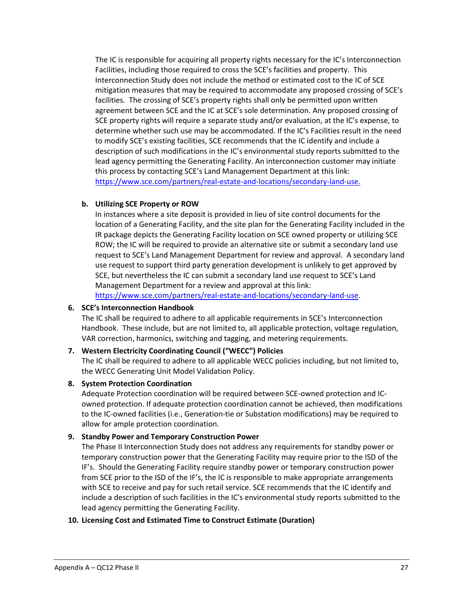The IC is responsible for acquiring all property rights necessary for the IC's Interconnection Facilities, including those required to cross the SCE's facilities and property. This Interconnection Study does not include the method or estimated cost to the IC of SCE mitigation measures that may be required to accommodate any proposed crossing of SCE's facilities. The crossing of SCE's property rights shall only be permitted upon written agreement between SCE and the IC at SCE's sole determination. Any proposed crossing of SCE property rights will require a separate study and/or evaluation, at the IC's expense, to determine whether such use may be accommodated. If the IC's Facilities result in the need to modify SCE's existing facilities, SCE recommends that the IC identify and include a description of such modifications in the IC's environmental study reports submitted to the lead agency permitting the Generating Facility. An interconnection customer may initiate this process by contacting SCE's Land Management Department at this link: https://www.sce.com/partners/real-estate-and-locations/secondary-land-use.

### **b. Utilizing SCE Property or ROW**

In instances where a site deposit is provided in lieu of site control documents for the location of a Generating Facility, and the site plan for the Generating Facility included in the IR package depicts the Generating Facility location on SCE owned property or utilizing SCE ROW; the IC will be required to provide an alternative site or submit a secondary land use request to SCE's Land Management Department for review and approval. A secondary land use request to support third party generation development is unlikely to get approved by SCE, but nevertheless the IC can submit a secondary land use request to SCE's Land Management Department for a review and approval at this link: https://www.sce.com/partners/real-estate-and-locations/secondary-land-use.

#### **6. SCE's Interconnection Handbook**

The IC shall be required to adhere to all applicable requirements in SCE's Interconnection Handbook. These include, but are not limited to, all applicable protection, voltage regulation, VAR correction, harmonics, switching and tagging, and metering requirements.

## **7. Western Electricity Coordinating Council ("WECC") Policies**

The IC shall be required to adhere to all applicable WECC policies including, but not limited to, the WECC Generating Unit Model Validation Policy.

#### **8. System Protection Coordination**

Adequate Protection coordination will be required between SCE-owned protection and ICowned protection. If adequate protection coordination cannot be achieved, then modifications to the IC-owned facilities (i.e., Generation-tie or Substation modifications) may be required to allow for ample protection coordination.

#### **9. Standby Power and Temporary Construction Power**

The Phase II Interconnection Study does not address any requirements for standby power or temporary construction power that the Generating Facility may require prior to the ISD of the IF's. Should the Generating Facility require standby power or temporary construction power from SCE prior to the ISD of the IF's, the IC is responsible to make appropriate arrangements with SCE to receive and pay for such retail service. SCE recommends that the IC identify and include a description of such facilities in the IC's environmental study reports submitted to the lead agency permitting the Generating Facility.

## **10. Licensing Cost and Estimated Time to Construct Estimate (Duration)**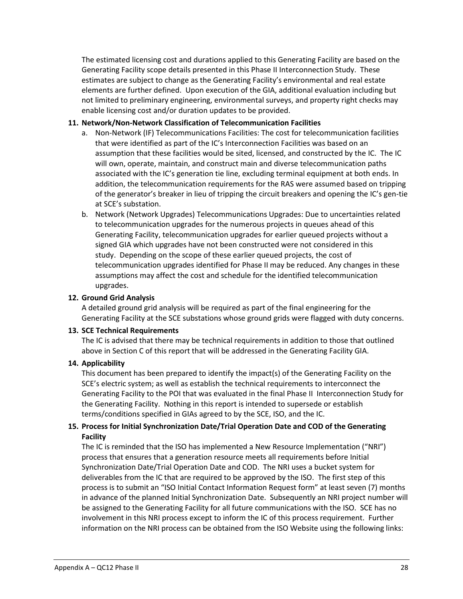The estimated licensing cost and durations applied to this Generating Facility are based on the Generating Facility scope details presented in this Phase II Interconnection Study. These estimates are subject to change as the Generating Facility's environmental and real estate elements are further defined. Upon execution of the GIA, additional evaluation including but not limited to preliminary engineering, environmental surveys, and property right checks may enable licensing cost and/or duration updates to be provided.

#### **11. Network/Non-Network Classification of Telecommunication Facilities**

- a. Non-Network (IF) Telecommunications Facilities: The cost for telecommunication facilities that were identified as part of the IC's Interconnection Facilities was based on an assumption that these facilities would be sited, licensed, and constructed by the IC. The IC will own, operate, maintain, and construct main and diverse telecommunication paths associated with the IC's generation tie line, excluding terminal equipment at both ends. In addition, the telecommunication requirements for the RAS were assumed based on tripping of the generator's breaker in lieu of tripping the circuit breakers and opening the IC's gen-tie at SCE's substation.
- b. Network (Network Upgrades) Telecommunications Upgrades: Due to uncertainties related to telecommunication upgrades for the numerous projects in queues ahead of this Generating Facility, telecommunication upgrades for earlier queued projects without a signed GIA which upgrades have not been constructed were not considered in this study. Depending on the scope of these earlier queued projects, the cost of telecommunication upgrades identified for Phase II may be reduced. Any changes in these assumptions may affect the cost and schedule for the identified telecommunication upgrades.

### **12. Ground Grid Analysis**

A detailed ground grid analysis will be required as part of the final engineering for the Generating Facility at the SCE substations whose ground grids were flagged with duty concerns.

#### **13. SCE Technical Requirements**

The IC is advised that there may be technical requirements in addition to those that outlined above in Section C of this report that will be addressed in the Generating Facility GIA.

#### **14. Applicability**

This document has been prepared to identify the impact(s) of the Generating Facility on the SCE's electric system; as well as establish the technical requirements to interconnect the Generating Facility to the POI that was evaluated in the final Phase II Interconnection Study for the Generating Facility. Nothing in this report is intended to supersede or establish terms/conditions specified in GIAs agreed to by the SCE, ISO, and the IC.

## **15. Process for Initial Synchronization Date/Trial Operation Date and COD of the Generating Facility**

The IC is reminded that the ISO has implemented a New Resource Implementation ("NRI") process that ensures that a generation resource meets all requirements before Initial Synchronization Date/Trial Operation Date and COD. The NRI uses a bucket system for deliverables from the IC that are required to be approved by the ISO. The first step of this process is to submit an "ISO Initial Contact Information Request form" at least seven (7) months in advance of the planned Initial Synchronization Date. Subsequently an NRI project number will be assigned to the Generating Facility for all future communications with the ISO. SCE has no involvement in this NRI process except to inform the IC of this process requirement. Further information on the NRI process can be obtained from the ISO Website using the following links: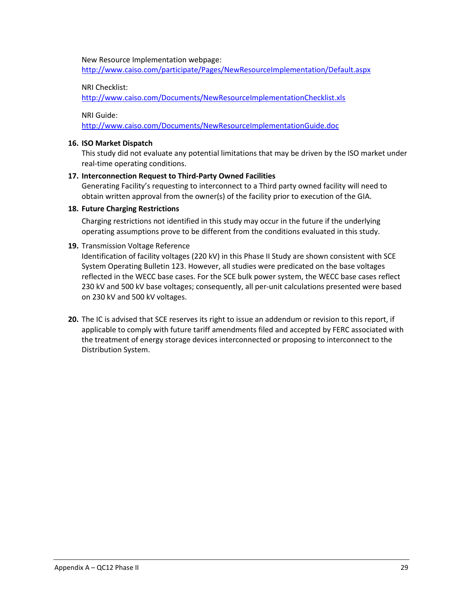New Resource Implementation webpage:

http://www.caiso.com/participate/Pages/NewResourceImplementation/Default.aspx

#### NRI Checklist:

http://www.caiso.com/Documents/NewResourceImplementationChecklist.xls

NRI Guide:

http://www.caiso.com/Documents/NewResourceImplementationGuide.doc

#### **16. ISO Market Dispatch**

This study did not evaluate any potential limitations that may be driven by the ISO market under real-time operating conditions.

#### **17. Interconnection Request to Third-Party Owned Facilities**

Generating Facility's requesting to interconnect to a Third party owned facility will need to obtain written approval from the owner(s) of the facility prior to execution of the GIA.

#### **18. Future Charging Restrictions**

Charging restrictions not identified in this study may occur in the future if the underlying operating assumptions prove to be different from the conditions evaluated in this study.

#### **19.** Transmission Voltage Reference

Identification of facility voltages (220 kV) in this Phase II Study are shown consistent with SCE System Operating Bulletin 123. However, all studies were predicated on the base voltages reflected in the WECC base cases. For the SCE bulk power system, the WECC base cases reflect 230 kV and 500 kV base voltages; consequently, all per-unit calculations presented were based on 230 kV and 500 kV voltages.

**20.** The IC is advised that SCE reserves its right to issue an addendum or revision to this report, if applicable to comply with future tariff amendments filed and accepted by FERC associated with the treatment of energy storage devices interconnected or proposing to interconnect to the Distribution System.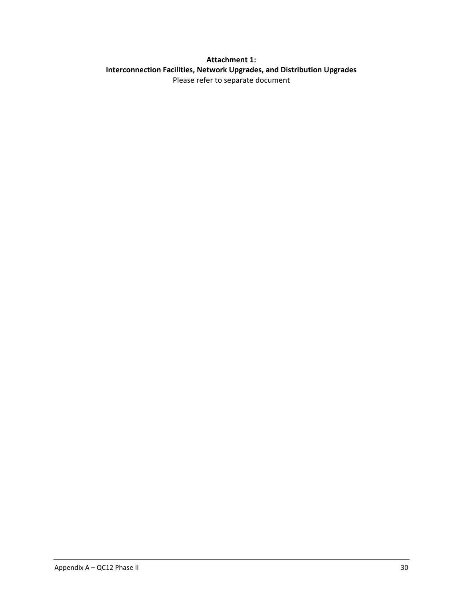## <span id="page-32-0"></span>**Attachment 1: Interconnection Facilities, Network Upgrades, and Distribution Upgrades** Please refer to separate document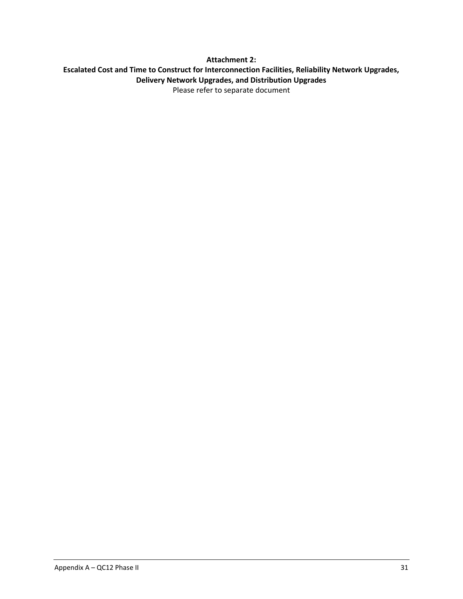## <span id="page-33-0"></span>**Attachment 2: Escalated Cost and Time to Construct for Interconnection Facilities, Reliability Network Upgrades, Delivery Network Upgrades, and Distribution Upgrades** Please refer to separate document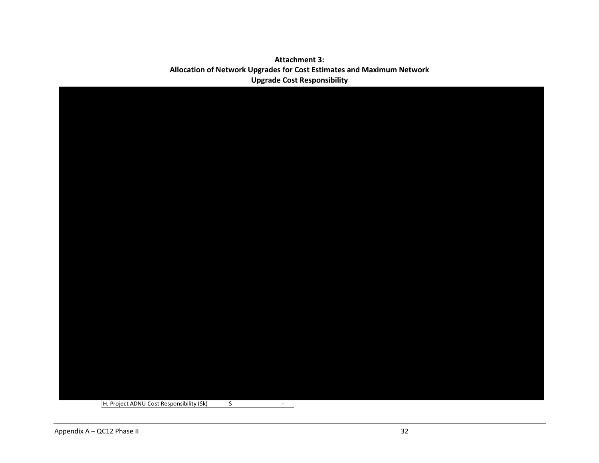## **Attachment 3: Allocation of Network Upgrades for Cost Estimates and Maximum Network Upgrade Cost Responsibility**

<span id="page-34-0"></span>

| H. Project ADNU Cost Responsibility (\$k) | $\overline{\phantom{a}}$<br>$\sim$ |  |
|-------------------------------------------|------------------------------------|--|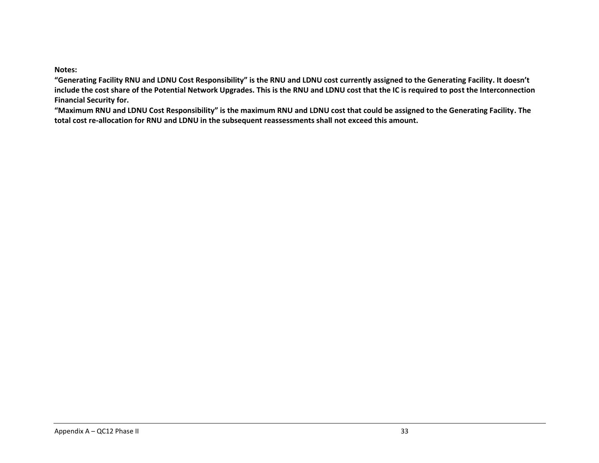**Notes:** 

**"Generating Facility RNU and LDNU Cost Responsibility" is the RNU and LDNU cost currently assigned to the Generating Facility. It doesn't include the cost share of the Potential Network Upgrades. This is the RNU and LDNU cost that the IC is required to post the Interconnection Financial Security for.**

**"Maximum RNU and LDNU Cost Responsibility" is the maximum RNU and LDNU cost that could be assigned to the Generating Facility. The total cost re-allocation for RNU and LDNU in the subsequent reassessments shall not exceed this amount.**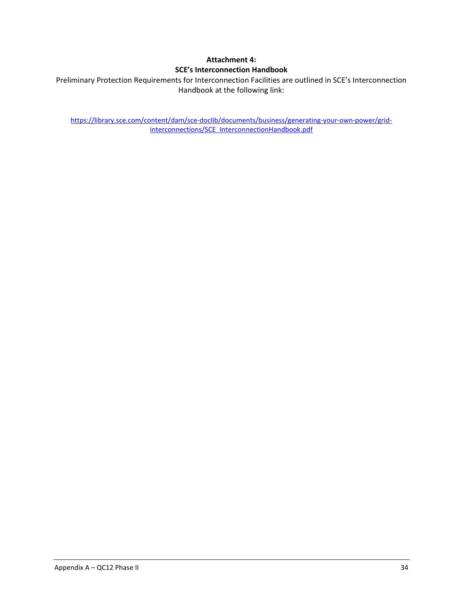## **Attachment 4: SCE's Interconnection Handbook**

<span id="page-36-0"></span>Preliminary Protection Requirements for Interconnection Facilities are outlined in SCE's Interconnection Handbook at the following link:

https://library.sce.com/content/dam/sce-doclib/documents/business/generating-your-own-power/gridinterconnections/SCE InterconnectionHandbook.pdf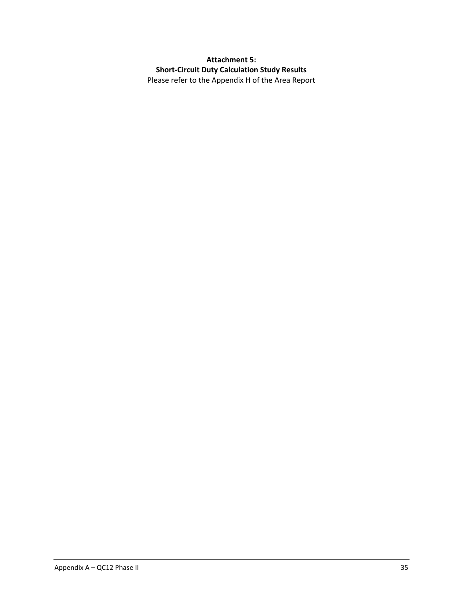<span id="page-37-0"></span>**Attachment 5: Short-Circuit Duty Calculation Study Results** Please refer to the Appendix H of the Area Report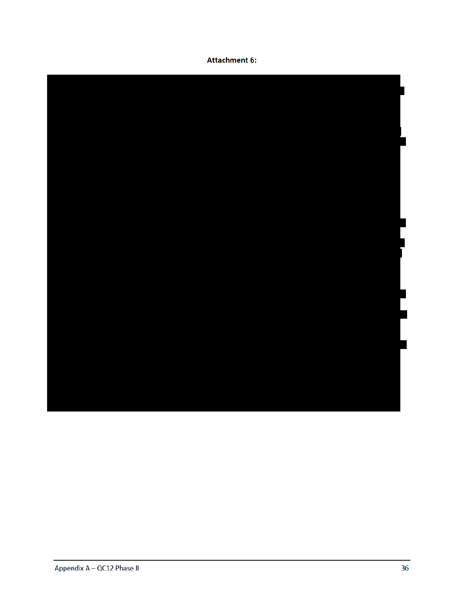## **Attachment 6:**